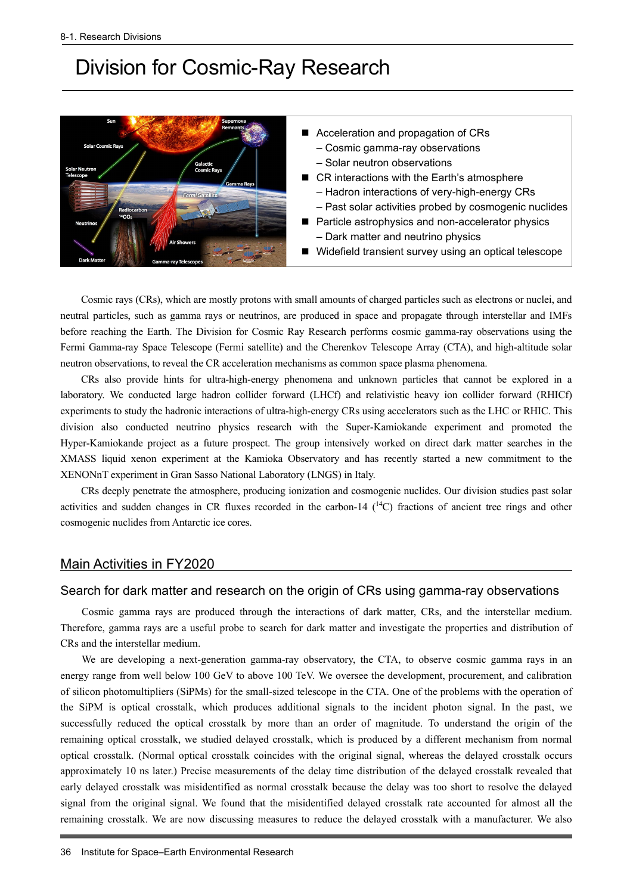# Division for Cosmic-Ray Research



Cosmic rays (CRs), which are mostly protons with small amounts of charged particles such as electrons or nuclei, and neutral particles, such as gamma rays or neutrinos, are produced in space and propagate through interstellar and IMFs before reaching the Earth. The Division for Cosmic Ray Research performs cosmic gamma-ray observations using the Fermi Gamma-ray Space Telescope (Fermi satellite) and the Cherenkov Telescope Array (CTA), and high-altitude solar neutron observations, to reveal the CR acceleration mechanisms as common space plasma phenomena.

CRs also provide hints for ultra-high-energy phenomena and unknown particles that cannot be explored in a laboratory. We conducted large hadron collider forward (LHCf) and relativistic heavy ion collider forward (RHICf) experiments to study the hadronic interactions of ultra-high-energy CRs using accelerators such as the LHC or RHIC. This division also conducted neutrino physics research with the Super-Kamiokande experiment and promoted the Hyper-Kamiokande project as a future prospect. The group intensively worked on direct dark matter searches in the XMASS liquid xenon experiment at the Kamioka Observatory and has recently started a new commitment to the XENONnT experiment in Gran Sasso National Laboratory (LNGS) in Italy.

CRs deeply penetrate the atmosphere, producing ionization and cosmogenic nuclides. Our division studies past solar activities and sudden changes in CR fluxes recorded in the carbon-14  $(^{14}C)$  fractions of ancient tree rings and other cosmogenic nuclides from Antarctic ice cores.

## Main Activities in FY2020

# Search for dark matter and research on the origin of CRs using gamma-ray observations

Cosmic gamma rays are produced through the interactions of dark matter, CRs, and the interstellar medium. Therefore, gamma rays are a useful probe to search for dark matter and investigate the properties and distribution of CRs and the interstellar medium.

We are developing a next-generation gamma-ray observatory, the CTA, to observe cosmic gamma rays in an energy range from well below 100 GeV to above 100 TeV. We oversee the development, procurement, and calibration of silicon photomultipliers (SiPMs) for the small-sized telescope in the CTA. One of the problems with the operation of the SiPM is optical crosstalk, which produces additional signals to the incident photon signal. In the past, we successfully reduced the optical crosstalk by more than an order of magnitude. To understand the origin of the remaining optical crosstalk, we studied delayed crosstalk, which is produced by a different mechanism from normal optical crosstalk. (Normal optical crosstalk coincides with the original signal, whereas the delayed crosstalk occurs approximately 10 ns later.) Precise measurements of the delay time distribution of the delayed crosstalk revealed that early delayed crosstalk was misidentified as normal crosstalk because the delay was too short to resolve the delayed signal from the original signal. We found that the misidentified delayed crosstalk rate accounted for almost all the remaining crosstalk. We are now discussing measures to reduce the delayed crosstalk with a manufacturer. We also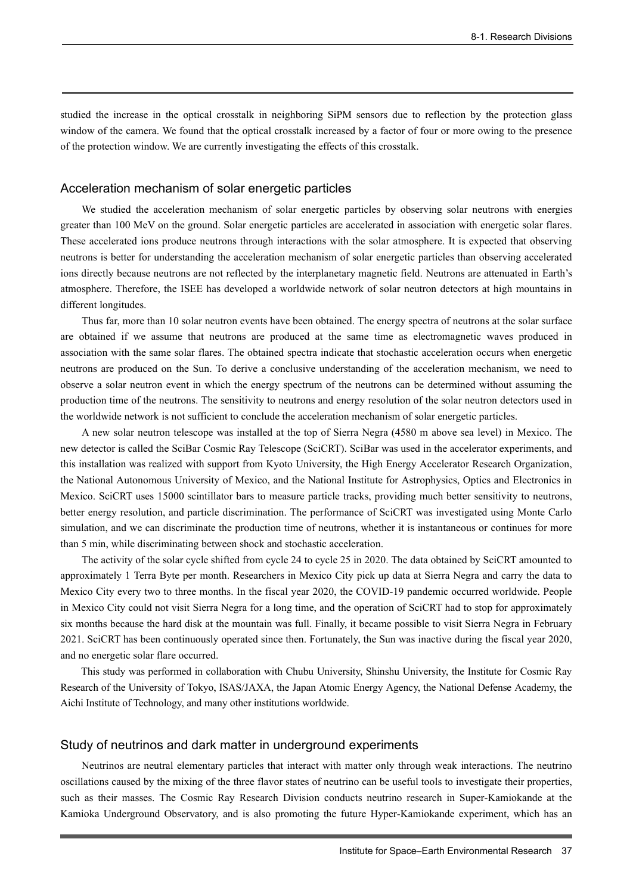studied the increase in the optical crosstalk in neighboring SiPM sensors due to reflection by the protection glass window of the camera. We found that the optical crosstalk increased by a factor of four or more owing to the presence of the protection window. We are currently investigating the effects of this crosstalk.

#### Acceleration mechanism of solar energetic particles

We studied the acceleration mechanism of solar energetic particles by observing solar neutrons with energies greater than 100 MeV on the ground. Solar energetic particles are accelerated in association with energetic solar flares. These accelerated ions produce neutrons through interactions with the solar atmosphere. It is expected that observing neutrons is better for understanding the acceleration mechanism of solar energetic particles than observing accelerated ions directly because neutrons are not reflected by the interplanetary magnetic field. Neutrons are attenuated in Earth's atmosphere. Therefore, the ISEE has developed a worldwide network of solar neutron detectors at high mountains in different longitudes.

Thus far, more than 10 solar neutron events have been obtained. The energy spectra of neutrons at the solar surface are obtained if we assume that neutrons are produced at the same time as electromagnetic waves produced in association with the same solar flares. The obtained spectra indicate that stochastic acceleration occurs when energetic neutrons are produced on the Sun. To derive a conclusive understanding of the acceleration mechanism, we need to observe a solar neutron event in which the energy spectrum of the neutrons can be determined without assuming the production time of the neutrons. The sensitivity to neutrons and energy resolution of the solar neutron detectors used in the worldwide network is not sufficient to conclude the acceleration mechanism of solar energetic particles.

A new solar neutron telescope was installed at the top of Sierra Negra (4580 m above sea level) in Mexico. The new detector is called the SciBar Cosmic Ray Telescope (SciCRT). SciBar was used in the accelerator experiments, and this installation was realized with support from Kyoto University, the High Energy Accelerator Research Organization, the National Autonomous University of Mexico, and the National Institute for Astrophysics, Optics and Electronics in Mexico. SciCRT uses 15000 scintillator bars to measure particle tracks, providing much better sensitivity to neutrons, better energy resolution, and particle discrimination. The performance of SciCRT was investigated using Monte Carlo simulation, and we can discriminate the production time of neutrons, whether it is instantaneous or continues for more than 5 min, while discriminating between shock and stochastic acceleration.

The activity of the solar cycle shifted from cycle 24 to cycle 25 in 2020. The data obtained by SciCRT amounted to approximately 1 Terra Byte per month. Researchers in Mexico City pick up data at Sierra Negra and carry the data to Mexico City every two to three months. In the fiscal year 2020, the COVID-19 pandemic occurred worldwide. People in Mexico City could not visit Sierra Negra for a long time, and the operation of SciCRT had to stop for approximately six months because the hard disk at the mountain was full. Finally, it became possible to visit Sierra Negra in February 2021. SciCRT has been continuously operated since then. Fortunately, the Sun was inactive during the fiscal year 2020, and no energetic solar flare occurred.

This study was performed in collaboration with Chubu University, Shinshu University, the Institute for Cosmic Ray Research of the University of Tokyo, ISAS/JAXA, the Japan Atomic Energy Agency, the National Defense Academy, the Aichi Institute of Technology, and many other institutions worldwide.

#### Study of neutrinos and dark matter in underground experiments

Neutrinos are neutral elementary particles that interact with matter only through weak interactions. The neutrino oscillations caused by the mixing of the three flavor states of neutrino can be useful tools to investigate their properties, such as their masses. The Cosmic Ray Research Division conducts neutrino research in Super-Kamiokande at the Kamioka Underground Observatory, and is also promoting the future Hyper-Kamiokande experiment, which has an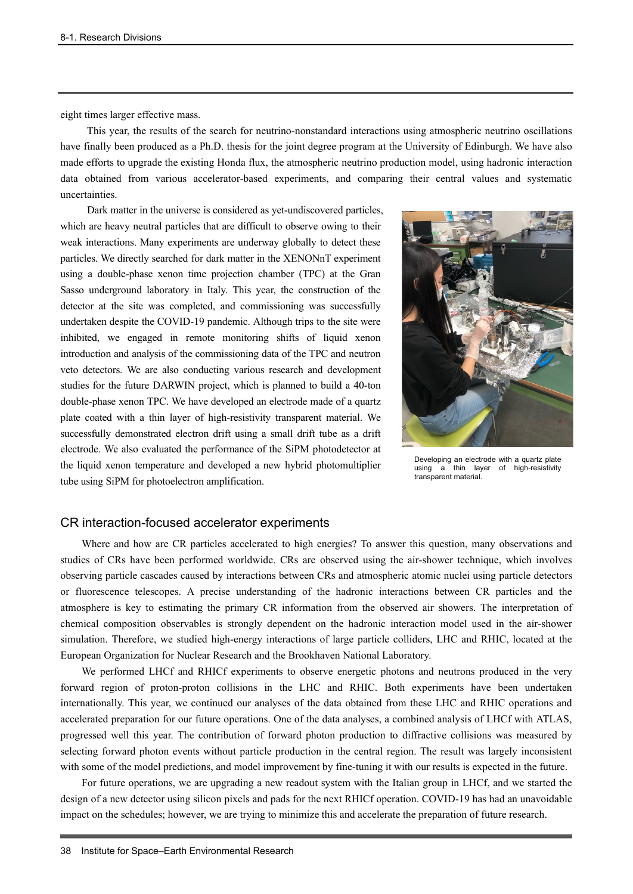eight times larger effective mass.

This year, the results of the search for neutrino-nonstandard interactions using atmospheric neutrino oscillations have finally been produced as a Ph.D. thesis for the joint degree program at the University of Edinburgh. We have also made efforts to upgrade the existing Honda flux, the atmospheric neutrino production model, using hadronic interaction data obtained from various accelerator-based experiments, and comparing their central values and systematic uncertainties.

Dark matter in the universe is considered as yet-undiscovered particles, which are heavy neutral particles that are difficult to observe owing to their weak interactions. Many experiments are underway globally to detect these particles. We directly searched for dark matter in the XENONnT experiment using a double-phase xenon time projection chamber (TPC) at the Gran Sasso underground laboratory in Italy. This year, the construction of the detector at the site was completed, and commissioning was successfully undertaken despite the COVID-19 pandemic. Although trips to the site were inhibited, we engaged in remote monitoring shifts of liquid xenon introduction and analysis of the commissioning data of the TPC and neutron veto detectors. We are also conducting various research and development studies for the future DARWIN project, which is planned to build a 40-ton double-phase xenon TPC. We have developed an electrode made of a quartz plate coated with a thin layer of high-resistivity transparent material. We successfully demonstrated electron drift using a small drift tube as a drift electrode. We also evaluated the performance of the SiPM photodetector at the liquid xenon temperature and developed a new hybrid photomultiplier tube using SiPM for photoelectron amplification.



Developing an electrode with a quartz plate using a thin layer of high-resistivity transparent material.

#### CR interaction-focused accelerator experiments

Where and how are CR particles accelerated to high energies? To answer this question, many observations and studies of CRs have been performed worldwide. CRs are observed using the air-shower technique, which involves observing particle cascades caused by interactions between CRs and atmospheric atomic nuclei using particle detectors or fluorescence telescopes. A precise understanding of the hadronic interactions between CR particles and the atmosphere is key to estimating the primary CR information from the observed air showers. The interpretation of chemical composition observables is strongly dependent on the hadronic interaction model used in the air-shower simulation. Therefore, we studied high-energy interactions of large particle colliders, LHC and RHIC, located at the European Organization for Nuclear Research and the Brookhaven National Laboratory.

We performed LHCf and RHICf experiments to observe energetic photons and neutrons produced in the very forward region of proton-proton collisions in the LHC and RHIC. Both experiments have been undertaken internationally. This year, we continued our analyses of the data obtained from these LHC and RHIC operations and accelerated preparation for our future operations. One of the data analyses, a combined analysis of LHCf with ATLAS, progressed well this year. The contribution of forward photon production to diffractive collisions was measured by selecting forward photon events without particle production in the central region. The result was largely inconsistent with some of the model predictions, and model improvement by fine-tuning it with our results is expected in the future.

For future operations, we are upgrading a new readout system with the Italian group in LHCf, and we started the design of a new detector using silicon pixels and pads for the next RHICf operation. COVID-19 has had an unavoidable impact on the schedules; however, we are trying to minimize this and accelerate the preparation of future research.